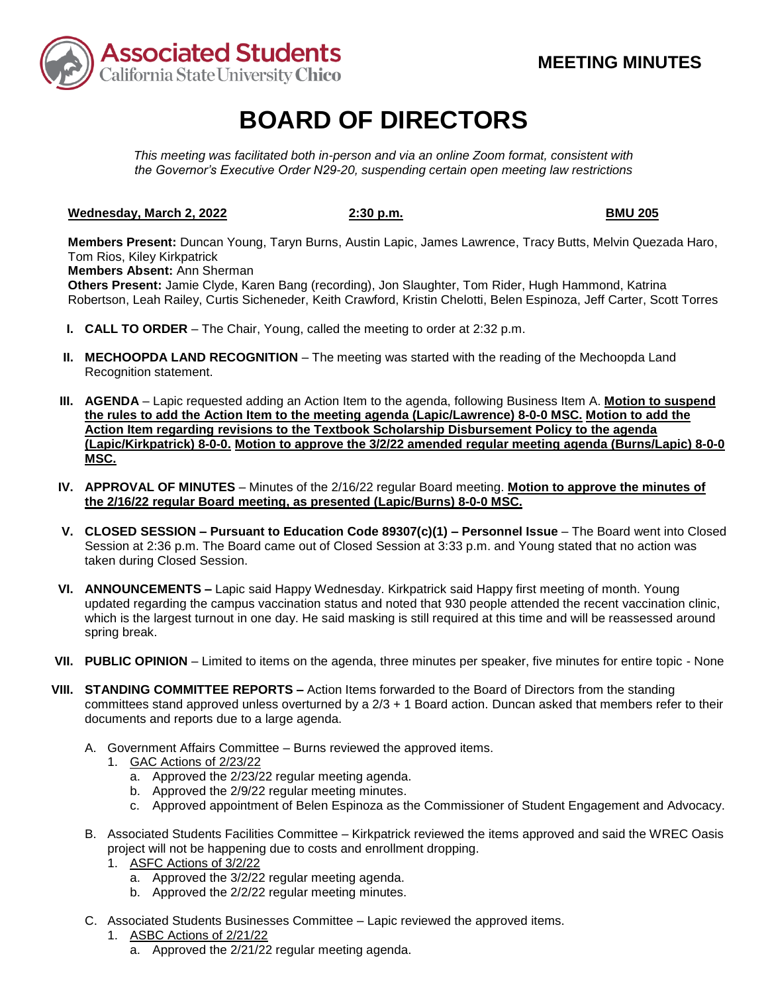

# **BOARD OF DIRECTORS**

*This meeting was facilitated both in-person and via an online Zoom format, consistent with the Governor's Executive Order N29-20, suspending certain open meeting law restrictions* 

## **Wednesday, March 2, 2022 2:30 p.m. BMU 205**

**Members Present:** Duncan Young, Taryn Burns, Austin Lapic, James Lawrence, Tracy Butts, Melvin Quezada Haro, Tom Rios, Kiley Kirkpatrick

**Members Absent:** Ann Sherman

**Others Present:** Jamie Clyde, Karen Bang (recording), Jon Slaughter, Tom Rider, Hugh Hammond, Katrina Robertson, Leah Railey, Curtis Sicheneder, Keith Crawford, Kristin Chelotti, Belen Espinoza, Jeff Carter, Scott Torres

- **I. CALL TO ORDER**  The Chair, Young, called the meeting to order at 2:32 p.m.
- **II. MECHOOPDA LAND RECOGNITION** The meeting was started with the reading of the Mechoopda Land Recognition statement.
- **III. AGENDA**  Lapic requested adding an Action Item to the agenda, following Business Item A. **Motion to suspend the rules to add the Action Item to the meeting agenda (Lapic/Lawrence) 8-0-0 MSC. Motion to add the Action Item regarding revisions to the Textbook Scholarship Disbursement Policy to the agenda (Lapic/Kirkpatrick) 8-0-0. Motion to approve the 3/2/22 amended regular meeting agenda (Burns/Lapic) 8-0-0 MSC.**
- **IV. APPROVAL OF MINUTES**  Minutes of the 2/16/22 regular Board meeting. **Motion to approve the minutes of the 2/16/22 regular Board meeting, as presented (Lapic/Burns) 8-0-0 MSC.**
- **V. CLOSED SESSION – Pursuant to Education Code 89307(c)(1) – Personnel Issue**  The Board went into Closed Session at 2:36 p.m. The Board came out of Closed Session at 3:33 p.m. and Young stated that no action was taken during Closed Session.
- **VI. ANNOUNCEMENTS –** Lapic said Happy Wednesday. Kirkpatrick said Happy first meeting of month. Young updated regarding the campus vaccination status and noted that 930 people attended the recent vaccination clinic, which is the largest turnout in one day. He said masking is still required at this time and will be reassessed around spring break.
- **VII. PUBLIC OPINION**  Limited to items on the agenda, three minutes per speaker, five minutes for entire topic None
- **VIII. STANDING COMMITTEE REPORTS –** Action Items forwarded to the Board of Directors from the standing committees stand approved unless overturned by a 2/3 + 1 Board action. Duncan asked that members refer to their documents and reports due to a large agenda.
	- A. Government Affairs Committee Burns reviewed the approved items.
		- 1. GAC Actions of 2/23/22
			- a. Approved the 2/23/22 regular meeting agenda.
			- b. Approved the 2/9/22 regular meeting minutes.
			- c. Approved appointment of Belen Espinoza as the Commissioner of Student Engagement and Advocacy.
	- B. Associated Students Facilities Committee Kirkpatrick reviewed the items approved and said the WREC Oasis project will not be happening due to costs and enrollment dropping.
		- 1. ASFC Actions of 3/2/22
			- a. Approved the 3/2/22 regular meeting agenda.
			- b. Approved the 2/2/22 regular meeting minutes.
	- C. Associated Students Businesses Committee Lapic reviewed the approved items.
		- 1. ASBC Actions of 2/21/22
			- a. Approved the 2/21/22 regular meeting agenda.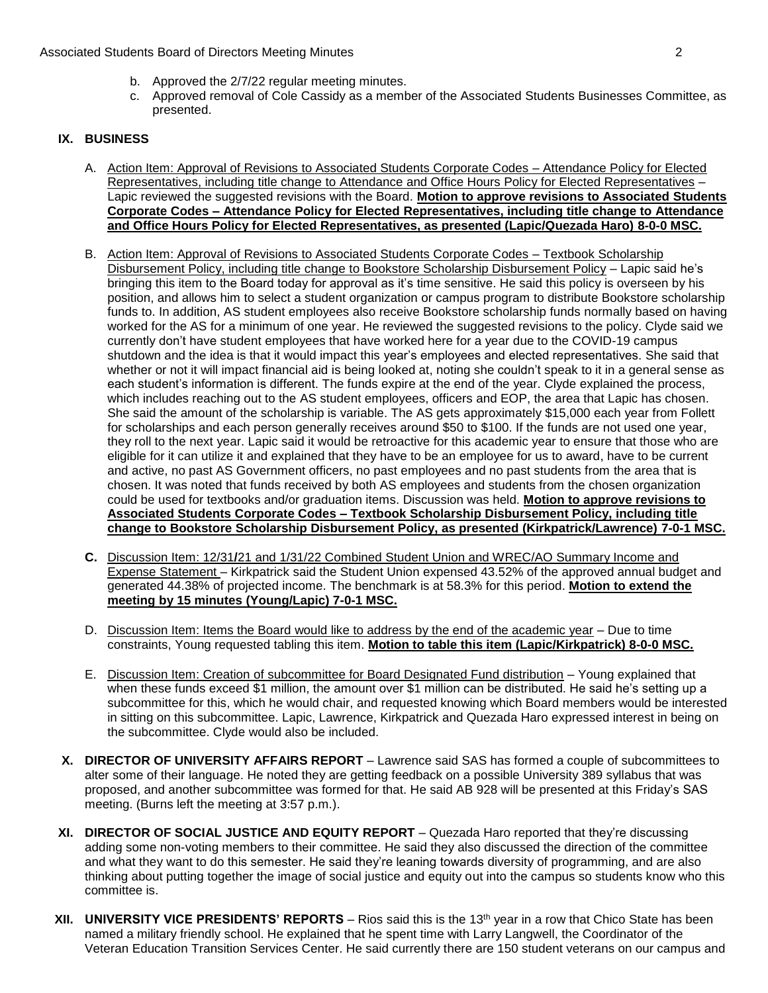- b. Approved the 2/7/22 regular meeting minutes.
- c. Approved removal of Cole Cassidy as a member of the Associated Students Businesses Committee, as presented.

### **IX. BUSINESS**

- Lapic reviewed the suggested revisions with the Board. **Motion to approve revisions to Associated Students Corporate Codes – Attendance Policy for Elected Representatives, including title change to Attendance**  A. Action Item: Approval of Revisions to Associated Students Corporate Codes – Attendance Policy for Elected Representatives, including title change to Attendance and Office Hours Policy for Elected Representatives – **and Office Hours Policy for Elected Representatives, as presented (Lapic/Quezada Haro) 8-0-0 MSC.**
- bringing this item to the Board today for approval as it's time sensitive. He said this policy is overseen by his could be used for textbooks and/or graduation items. Discussion was held. **Motion to approve revisions to**  B. Action Item: Approval of Revisions to Associated Students Corporate Codes – Textbook Scholarship Disbursement Policy, including title change to Bookstore Scholarship Disbursement Policy – Lapic said he's position, and allows him to select a student organization or campus program to distribute Bookstore scholarship funds to. In addition, AS student employees also receive Bookstore scholarship funds normally based on having worked for the AS for a minimum of one year. He reviewed the suggested revisions to the policy. Clyde said we currently don't have student employees that have worked here for a year due to the COVID-19 campus shutdown and the idea is that it would impact this year's employees and elected representatives. She said that whether or not it will impact financial aid is being looked at, noting she couldn't speak to it in a general sense as each student's information is different. The funds expire at the end of the year. Clyde explained the process, which includes reaching out to the AS student employees, officers and EOP, the area that Lapic has chosen. She said the amount of the scholarship is variable. The AS gets approximately \$15,000 each year from Follett for scholarships and each person generally receives around \$50 to \$100. If the funds are not used one year, they roll to the next year. Lapic said it would be retroactive for this academic year to ensure that those who are eligible for it can utilize it and explained that they have to be an employee for us to award, have to be current and active, no past AS Government officers, no past employees and no past students from the area that is chosen. It was noted that funds received by both AS employees and students from the chosen organization **Associated Students Corporate Codes – Textbook Scholarship Disbursement Policy, including title change to Bookstore Scholarship Disbursement Policy, as presented (Kirkpatrick/Lawrence) 7-0-1 MSC.**
- **C.** Discussion Item: 12/31**/**21 and 1/31/22 Combined Student Union and WREC/AO Summary Income and Expense Statement – Kirkpatrick said the Student Union expensed 43.52% of the approved annual budget and generated 44.38% of projected income. The benchmark is at 58.3% for this period. **Motion to extend the meeting by 15 minutes (Young/Lapic) 7-0-1 MSC.**
- D. Discussion Item: Items the Board would like to address by the end of the academic year Due to time constraints, Young requested tabling this item. **Motion to table this item (Lapic/Kirkpatrick) 8-0-0 MSC.**
- subcommittee for this, which he would chair, and requested knowing which Board members would be interested E. Discussion Item: Creation of subcommittee for Board Designated Fund distribution – Young explained that when these funds exceed \$1 million, the amount over \$1 million can be distributed. He said he's setting up a in sitting on this subcommittee. Lapic, Lawrence, Kirkpatrick and Quezada Haro expressed interest in being on the subcommittee. Clyde would also be included.
- proposed, and another subcommittee was formed for that. He said AB 928 will be presented at this Friday's SAS **X. DIRECTOR OF UNIVERSITY AFFAIRS REPORT** – Lawrence said SAS has formed a couple of subcommittees to alter some of their language. He noted they are getting feedback on a possible University 389 syllabus that was meeting. (Burns left the meeting at 3:57 p.m.).
- **XI. DIRECTOR OF SOCIAL JUSTICE AND EQUITY REPORT**  Quezada Haro reported that they're discussing and what they want to do this semester. He said they're leaning towards diversity of programming, and are also adding some non-voting members to their committee. He said they also discussed the direction of the committee thinking about putting together the image of social justice and equity out into the campus so students know who this committee is.
- **XII. UNIVERSITY VICE PRESIDENTS' REPORTS** Rios said this is the 13th year in a row that Chico State has been named a military friendly school. He explained that he spent time with Larry Langwell, the Coordinator of the Veteran Education Transition Services Center. He said currently there are 150 student veterans on our campus and